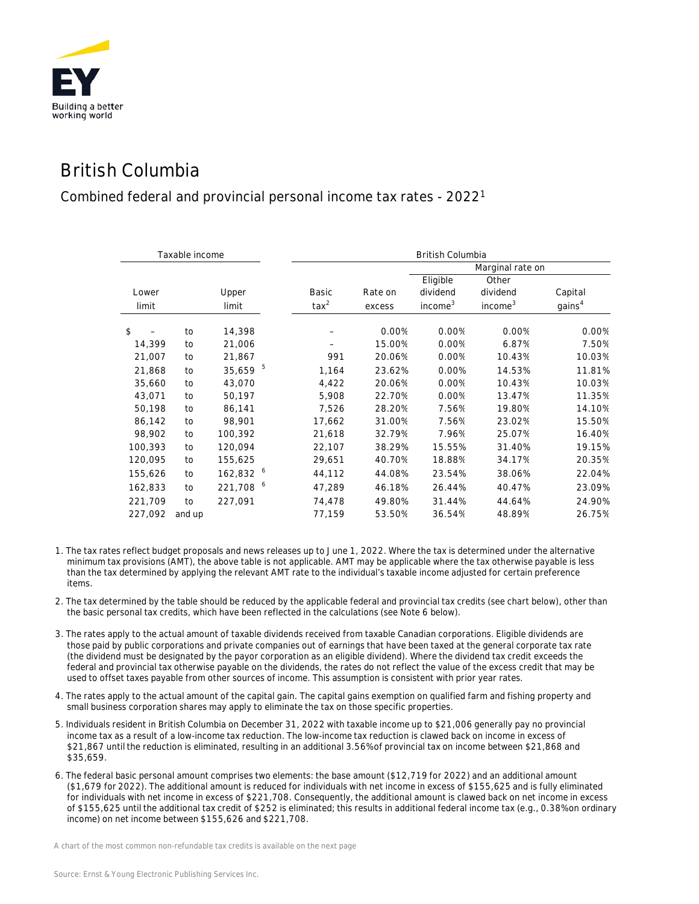

## British Columbia

## Combined federal and provincial personal income tax rates - 20221

| Taxable income |        |           |                | <b>British Columbia</b> |                     |                     |                    |  |
|----------------|--------|-----------|----------------|-------------------------|---------------------|---------------------|--------------------|--|
|                |        |           |                | Marginal rate on        |                     |                     |                    |  |
|                |        |           |                |                         | Eligible            | Other               |                    |  |
| Lower          |        | Upper     | Basic          | Rate on                 | dividend            | dividend            | Capital            |  |
| limit          |        | limit     | $\text{tax}^2$ | excess                  | income <sup>3</sup> | income <sup>3</sup> | gains <sup>4</sup> |  |
| \$             | to     | 14,398    |                | 0.00%                   | 0.00%               | 0.00%               | 0.00%              |  |
| 14,399         | to     | 21,006    |                | 15.00%                  | 0.00%               | 6.87%               | 7.50%              |  |
| 21,007         | to     | 21,867    | 991            | 20.06%                  | 0.00%               | 10.43%              | 10.03%             |  |
| 21,868         | to     | 35,659    | 5<br>1,164     | 23.62%                  | 0.00%               | 14.53%              | 11.81%             |  |
| 35,660         | to     | 43,070    | 4,422          | 20.06%                  | 0.00%               | 10.43%              | 10.03%             |  |
| 43,071         | to     | 50,197    | 5,908          | 22.70%                  | 0.00%               | 13.47%              | 11.35%             |  |
| 50,198         | to     | 86,141    | 7,526          | 28.20%                  | 7.56%               | 19.80%              | 14.10%             |  |
| 86,142         | to     | 98,901    | 17,662         | 31.00%                  | 7.56%               | 23.02%              | 15.50%             |  |
| 98,902         | to     | 100,392   | 21,618         | 32.79%                  | 7.96%               | 25.07%              | 16.40%             |  |
| 100,393        | to     | 120,094   | 22,107         | 38.29%                  | 15.55%              | 31.40%              | 19.15%             |  |
| 120,095        | to     | 155,625   | 29,651         | 40.70%                  | 18.88%              | 34.17%              | 20.35%             |  |
| 155,626        | to     | 162,832 6 | 44,112         | 44.08%                  | 23.54%              | 38.06%              | 22.04%             |  |
| 162,833        | to     | 221,708 6 | 47,289         | 46.18%                  | 26.44%              | 40.47%              | 23.09%             |  |
| 221,709        | to     | 227,091   | 74,478         | 49.80%                  | 31.44%              | 44.64%              | 24.90%             |  |
| 227,092        | and up |           | 77,159         | 53.50%                  | 36.54%              | 48.89%              | 26.75%             |  |

- 1. The tax rates reflect budget proposals and news releases up to June 1, 2022. Where the tax is determined under the alternative minimum tax provisions (AMT), the above table is not applicable. AMT may be applicable where the tax otherwise payable is less than the tax determined by applying the relevant AMT rate to the individual's taxable income adjusted for certain preference items.
- 2. The tax determined by the table should be reduced by the applicable federal and provincial tax credits (see chart below), other than the basic personal tax credits, which have been reflected in the calculations (see Note 6 below).
- 3. The rates apply to the actual amount of taxable dividends received from taxable Canadian corporations. Eligible dividends are those paid by public corporations and private companies out of earnings that have been taxed at the general corporate tax rate (the dividend must be designated by the payor corporation as an eligible dividend). Where the dividend tax credit exceeds the federal and provincial tax otherwise payable on the dividends, the rates do not reflect the value of the excess credit that may be used to offset taxes payable from other sources of income. This assumption is consistent with prior year rates.
- 4. The rates apply to the actual amount of the capital gain. The capital gains exemption on qualified farm and fishing property and small business corporation shares may apply to eliminate the tax on those specific properties.
- 5. Individuals resident in British Columbia on December 31, 2022 with taxable income up to \$21,006 generally pay no provincial income tax as a result of a low-income tax reduction. The low-income tax reduction is clawed back on income in excess of \$21,867 until the reduction is eliminated, resulting in an additional 3.56% of provincial tax on income between \$21,868 and \$35,659.
- 6. The federal basic personal amount comprises two elements: the base amount (\$12,719 for 2022) and an additional amount (\$1,679 for 2022). The additional amount is reduced for individuals with net income in excess of \$155,625 and is fully eliminated for individuals with net income in excess of \$221,708. Consequently, the additional amount is clawed back on net income in excess of \$155,625 until the additional tax credit of \$252 is eliminated; this results in additional federal income tax (e.g., 0.38% on ordinary income) on net income between \$155,626 and \$221,708.

*A chart of the most common non-refundable tax credits is available on the next page*